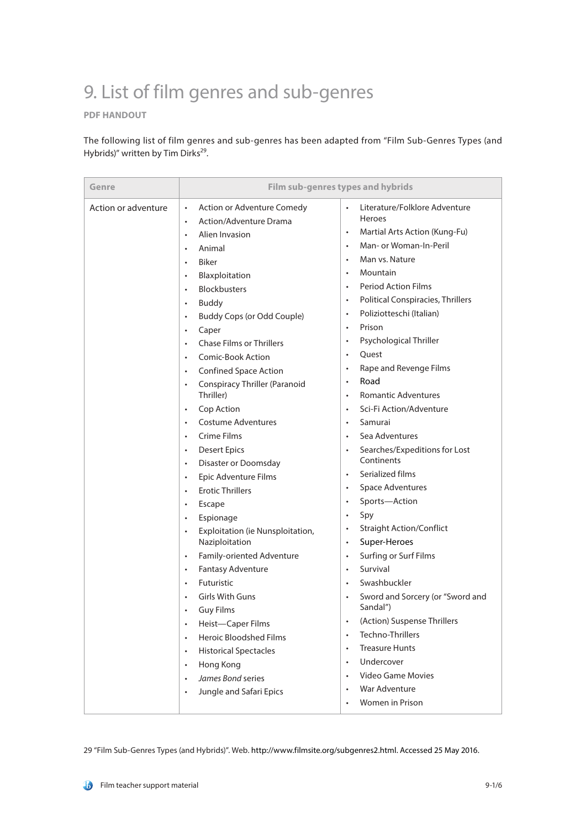## 9. List of film genres and sub-genres

## **PDF HANDOUT**

The following list of film genres and sub-genres has been adapted from "Film Sub-Genres Types (and Hybrids)" written by Tim Dirks<sup>29</sup>.

| Genre               |                                                                                                                                                                                                                                                                                                                                                                                                                                                                                                                                                                                                                                                                                                                                                                                                                                                                                                                                                                                                                                                                                                                                                                                                               | Film sub-genres types and hybrids                                                                                                                                                                                                                                                                                                                                                                                                                                                                                                                                                                                                                                                                                                                                                                                                                                                                                                                                                                                                                                                                                                                                                        |
|---------------------|---------------------------------------------------------------------------------------------------------------------------------------------------------------------------------------------------------------------------------------------------------------------------------------------------------------------------------------------------------------------------------------------------------------------------------------------------------------------------------------------------------------------------------------------------------------------------------------------------------------------------------------------------------------------------------------------------------------------------------------------------------------------------------------------------------------------------------------------------------------------------------------------------------------------------------------------------------------------------------------------------------------------------------------------------------------------------------------------------------------------------------------------------------------------------------------------------------------|------------------------------------------------------------------------------------------------------------------------------------------------------------------------------------------------------------------------------------------------------------------------------------------------------------------------------------------------------------------------------------------------------------------------------------------------------------------------------------------------------------------------------------------------------------------------------------------------------------------------------------------------------------------------------------------------------------------------------------------------------------------------------------------------------------------------------------------------------------------------------------------------------------------------------------------------------------------------------------------------------------------------------------------------------------------------------------------------------------------------------------------------------------------------------------------|
| Action or adventure | Action or Adventure Comedy<br>$\bullet$<br>Action/Adventure Drama<br>$\bullet$<br>Alien Invasion<br>$\bullet$<br>Animal<br>$\bullet$<br><b>Biker</b><br>$\bullet$<br>Blaxploitation<br>$\bullet$<br><b>Blockbusters</b><br>$\bullet$<br><b>Buddy</b><br>$\bullet$<br><b>Buddy Cops (or Odd Couple)</b><br>$\bullet$<br>Caper<br>$\bullet$<br><b>Chase Films or Thrillers</b><br>$\bullet$<br>Comic-Book Action<br>$\bullet$<br><b>Confined Space Action</b><br>$\bullet$<br><b>Conspiracy Thriller (Paranoid</b><br>$\bullet$<br>Thriller)<br>Cop Action<br>$\bullet$<br><b>Costume Adventures</b><br>$\bullet$<br>Crime Films<br>$\bullet$<br><b>Desert Epics</b><br>$\bullet$<br>Disaster or Doomsday<br>$\bullet$<br>Epic Adventure Films<br>$\bullet$<br><b>Erotic Thrillers</b><br>$\bullet$<br>Escape<br>$\bullet$<br>Espionage<br>$\bullet$<br>Exploitation (ie Nunsploitation,<br>$\bullet$<br>Naziploitation<br>Family-oriented Adventure<br>$\bullet$<br>Fantasy Adventure<br>$\bullet$<br>Futuristic<br>$\bullet$<br><b>Girls With Guns</b><br><b>Guy Films</b><br>$\bullet$<br>Heist-Caper Films<br>$\bullet$<br>Heroic Bloodshed Films<br>$\bullet$<br><b>Historical Spectacles</b><br>$\bullet$ | Literature/Folklore Adventure<br><b>Heroes</b><br>Martial Arts Action (Kung-Fu)<br>$\bullet$<br>Man- or Woman-In-Peril<br>$\bullet$<br>Man vs. Nature<br>$\bullet$<br>Mountain<br>$\bullet$<br><b>Period Action Films</b><br>$\bullet$<br><b>Political Conspiracies, Thrillers</b><br>$\bullet$<br>Poliziotteschi (Italian)<br>$\bullet$<br>Prison<br>$\bullet$<br>Psychological Thriller<br>$\bullet$<br>Quest<br>$\bullet$<br>Rape and Revenge Films<br>$\bullet$<br>Road<br>$\bullet$<br><b>Romantic Adventures</b><br>٠<br>Sci-Fi Action/Adventure<br>$\bullet$<br>Samurai<br>$\bullet$<br>Sea Adventures<br>$\bullet$<br>Searches/Expeditions for Lost<br>$\bullet$<br>Continents<br>Serialized films<br>$\bullet$<br><b>Space Adventures</b><br>$\bullet$<br>Sports-Action<br>$\bullet$<br>Spy<br>$\bullet$<br><b>Straight Action/Conflict</b><br>$\bullet$<br>Super-Heroes<br>$\bullet$<br>Surfing or Surf Films<br>$\bullet$<br>Survival<br>$\bullet$<br>Swashbuckler<br>$\bullet$<br>Sword and Sorcery (or "Sword and<br>Sandal")<br>(Action) Suspense Thrillers<br>$\bullet$<br>Techno-Thrillers<br>$\bullet$<br><b>Treasure Hunts</b><br>$\bullet$<br>Undercover<br>$\bullet$ |
|                     | Hong Kong<br>$\bullet$<br>James Bond series<br>$\bullet$<br>Jungle and Safari Epics<br>$\bullet$                                                                                                                                                                                                                                                                                                                                                                                                                                                                                                                                                                                                                                                                                                                                                                                                                                                                                                                                                                                                                                                                                                              | Video Game Movies<br>$\bullet$<br>War Adventure<br>$\bullet$<br>Women in Prison<br>$\bullet$                                                                                                                                                                                                                                                                                                                                                                                                                                                                                                                                                                                                                                                                                                                                                                                                                                                                                                                                                                                                                                                                                             |

29 "Film Sub-Genres Types (and Hybrids)". Web. http://www.filmsite.org/subgenres2.html. Accessed 25 May 2016.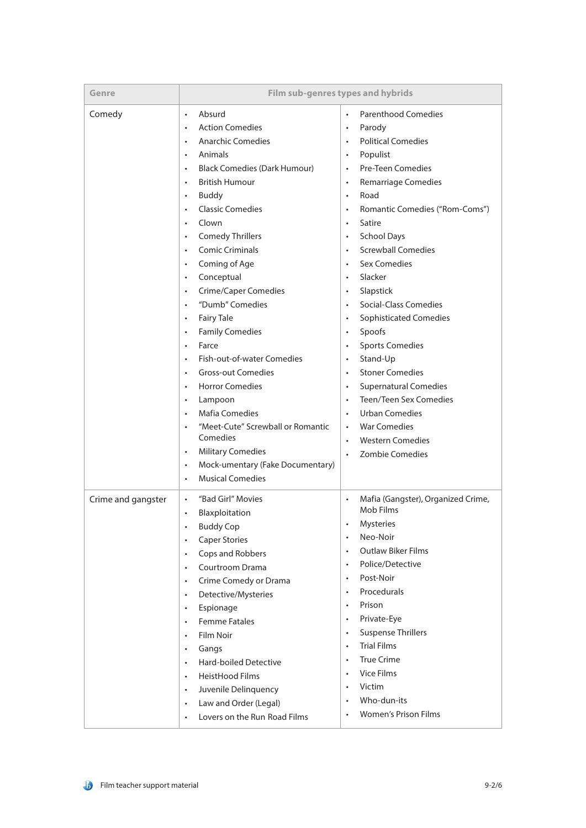| Genre              |                                                                                                                                                                                                                                                                                                                                                                                                                                                                                                                                                                                                                                                                                                                                                                                                                                                                                                                                                                                                                  | Film sub-genres types and hybrids                                                                                                                                                                                                                                                                                                                                                                                                                                                                                                                                                                                                                                                                                                                                                                                                                                                                                 |
|--------------------|------------------------------------------------------------------------------------------------------------------------------------------------------------------------------------------------------------------------------------------------------------------------------------------------------------------------------------------------------------------------------------------------------------------------------------------------------------------------------------------------------------------------------------------------------------------------------------------------------------------------------------------------------------------------------------------------------------------------------------------------------------------------------------------------------------------------------------------------------------------------------------------------------------------------------------------------------------------------------------------------------------------|-------------------------------------------------------------------------------------------------------------------------------------------------------------------------------------------------------------------------------------------------------------------------------------------------------------------------------------------------------------------------------------------------------------------------------------------------------------------------------------------------------------------------------------------------------------------------------------------------------------------------------------------------------------------------------------------------------------------------------------------------------------------------------------------------------------------------------------------------------------------------------------------------------------------|
| Comedy             | Absurd<br>$\bullet$<br><b>Action Comedies</b><br>$\bullet$<br><b>Anarchic Comedies</b><br>$\bullet$<br>Animals<br>$\bullet$<br><b>Black Comedies (Dark Humour)</b><br>$\bullet$<br><b>British Humour</b><br>$\bullet$<br><b>Buddy</b><br>$\bullet$<br><b>Classic Comedies</b><br>$\bullet$<br>Clown<br>$\bullet$<br><b>Comedy Thrillers</b><br>$\bullet$<br><b>Comic Criminals</b><br>$\bullet$<br>Coming of Age<br>$\bullet$<br>Conceptual<br>$\bullet$<br><b>Crime/Caper Comedies</b><br>$\bullet$<br>"Dumb" Comedies<br>$\bullet$<br><b>Fairy Tale</b><br>$\bullet$<br><b>Family Comedies</b><br>$\bullet$<br>Farce<br>$\bullet$<br>Fish-out-of-water Comedies<br>$\bullet$<br><b>Gross-out Comedies</b><br>$\bullet$<br><b>Horror Comedies</b><br>$\bullet$<br>Lampoon<br>$\bullet$<br><b>Mafia Comedies</b><br>$\bullet$<br>"Meet-Cute" Screwball or Romantic<br>Comedies<br><b>Military Comedies</b><br>$\bullet$<br>Mock-umentary (Fake Documentary)<br>$\bullet$<br><b>Musical Comedies</b><br>$\bullet$ | <b>Parenthood Comedies</b><br>$\bullet$<br>Parody<br>$\bullet$<br><b>Political Comedies</b><br>$\bullet$<br>Populist<br>$\bullet$<br><b>Pre-Teen Comedies</b><br>$\bullet$<br><b>Remarriage Comedies</b><br>$\bullet$<br>Road<br>$\bullet$<br>Romantic Comedies ("Rom-Coms")<br>$\bullet$<br>Satire<br>$\bullet$<br><b>School Days</b><br>$\bullet$<br><b>Screwball Comedies</b><br>$\bullet$<br><b>Sex Comedies</b><br>Slacker<br>$\bullet$<br>Slapstick<br>$\bullet$<br>Social-Class Comedies<br>$\bullet$<br><b>Sophisticated Comedies</b><br>$\bullet$<br>Spoofs<br>$\bullet$<br><b>Sports Comedies</b><br>$\bullet$<br>Stand-Up<br>$\bullet$<br><b>Stoner Comedies</b><br>$\bullet$<br><b>Supernatural Comedies</b><br>$\bullet$<br>Teen/Teen Sex Comedies<br>$\bullet$<br><b>Urban Comedies</b><br>$\bullet$<br><b>War Comedies</b><br>$\bullet$<br><b>Western Comedies</b><br>$\bullet$<br>Zombie Comedies |
| Crime and gangster | "Bad Girl" Movies<br>$\bullet$<br>Blaxploitation<br>$\bullet$<br><b>Buddy Cop</b><br>$\bullet$<br><b>Caper Stories</b><br>$\bullet$<br>Cops and Robbers<br>$\bullet$<br>Courtroom Drama<br>$\bullet$<br>Crime Comedy or Drama<br>$\bullet$<br>Detective/Mysteries<br>$\bullet$<br>Espionage<br>$\bullet$<br><b>Femme Fatales</b><br>$\bullet$<br>Film Noir<br>$\bullet$<br>Gangs<br>$\bullet$<br>Hard-boiled Detective<br>$\bullet$<br>HeistHood Films<br>$\bullet$<br>Juvenile Delinquency<br>$\bullet$<br>Law and Order (Legal)<br>$\bullet$<br>Lovers on the Run Road Films<br>$\bullet$                                                                                                                                                                                                                                                                                                                                                                                                                      | Mafia (Gangster), Organized Crime,<br>Mob Films<br>Mysteries<br>Neo-Noir<br>$\bullet$<br><b>Outlaw Biker Films</b><br>$\bullet$<br>Police/Detective<br>$\bullet$<br>Post-Noir<br>$\bullet$<br>Procedurals<br>$\bullet$<br>Prison<br>$\bullet$<br>Private-Eye<br>$\bullet$<br><b>Suspense Thrillers</b><br>$\bullet$<br><b>Trial Films</b><br>$\bullet$<br><b>True Crime</b><br>$\bullet$<br><b>Vice Films</b><br>$\bullet$<br>Victim<br>$\bullet$<br>Who-dun-its<br>$\bullet$<br><b>Women's Prison Films</b>                                                                                                                                                                                                                                                                                                                                                                                                      |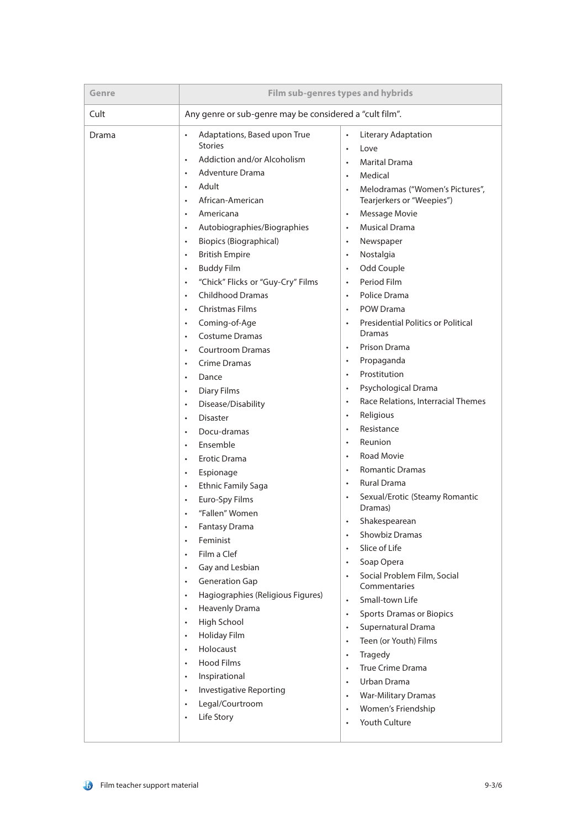| Genre | Film sub-genres types and hybrids                                                                                                                                                                                                                                                                                                                                                                                                                                                                                                                                                                                                                                                                                                                                                                                                                                                                                                                                                                                                                                                                                                                                                                                                                                                                                                                                                                                                                                                                              |                                                                                                                                                                                                                                                                                                                                                                                                                                                                                                                                                                                                                                                                                                                                                                                                                                                                                                                                                                                                                                                                                                                                                                                                                                                                                                                                                                                                                                                                  |
|-------|----------------------------------------------------------------------------------------------------------------------------------------------------------------------------------------------------------------------------------------------------------------------------------------------------------------------------------------------------------------------------------------------------------------------------------------------------------------------------------------------------------------------------------------------------------------------------------------------------------------------------------------------------------------------------------------------------------------------------------------------------------------------------------------------------------------------------------------------------------------------------------------------------------------------------------------------------------------------------------------------------------------------------------------------------------------------------------------------------------------------------------------------------------------------------------------------------------------------------------------------------------------------------------------------------------------------------------------------------------------------------------------------------------------------------------------------------------------------------------------------------------------|------------------------------------------------------------------------------------------------------------------------------------------------------------------------------------------------------------------------------------------------------------------------------------------------------------------------------------------------------------------------------------------------------------------------------------------------------------------------------------------------------------------------------------------------------------------------------------------------------------------------------------------------------------------------------------------------------------------------------------------------------------------------------------------------------------------------------------------------------------------------------------------------------------------------------------------------------------------------------------------------------------------------------------------------------------------------------------------------------------------------------------------------------------------------------------------------------------------------------------------------------------------------------------------------------------------------------------------------------------------------------------------------------------------------------------------------------------------|
| Cult  | Any genre or sub-genre may be considered a "cult film".                                                                                                                                                                                                                                                                                                                                                                                                                                                                                                                                                                                                                                                                                                                                                                                                                                                                                                                                                                                                                                                                                                                                                                                                                                                                                                                                                                                                                                                        |                                                                                                                                                                                                                                                                                                                                                                                                                                                                                                                                                                                                                                                                                                                                                                                                                                                                                                                                                                                                                                                                                                                                                                                                                                                                                                                                                                                                                                                                  |
| Drama | Adaptations, Based upon True<br>$\bullet$<br><b>Stories</b><br>Addiction and/or Alcoholism<br>$\bullet$<br>Adventure Drama<br>$\bullet$<br>Adult<br>$\bullet$<br>African-American<br>$\bullet$<br>Americana<br>$\bullet$<br>Autobiographies/Biographies<br>$\bullet$<br><b>Biopics (Biographical)</b><br>$\bullet$<br><b>British Empire</b><br>$\bullet$<br><b>Buddy Film</b><br>$\bullet$<br>"Chick" Flicks or "Guy-Cry" Films<br>$\bullet$<br><b>Childhood Dramas</b><br>$\bullet$<br><b>Christmas Films</b><br>$\bullet$<br>Coming-of-Age<br>$\bullet$<br><b>Costume Dramas</b><br>$\bullet$<br><b>Courtroom Dramas</b><br>$\bullet$<br>Crime Dramas<br>$\bullet$<br>Dance<br>$\bullet$<br><b>Diary Films</b><br>$\bullet$<br>Disease/Disability<br>$\bullet$<br><b>Disaster</b><br>$\bullet$<br>Docu-dramas<br>$\bullet$<br>Ensemble<br>$\bullet$<br>Erotic Drama<br>$\bullet$<br>Espionage<br>$\bullet$<br><b>Ethnic Family Saga</b><br>$\bullet$<br>Euro-Spy Films<br>$\bullet$<br>"Fallen" Women<br><b>Fantasy Drama</b><br>$\bullet$<br>Feminist<br>$\bullet$<br>Film a Clef<br>$\bullet$<br>Gay and Lesbian<br>$\bullet$<br><b>Generation Gap</b><br>$\bullet$<br>Hagiographies (Religious Figures)<br>$\bullet$<br><b>Heavenly Drama</b><br>$\bullet$<br>High School<br>$\bullet$<br>Holiday Film<br>$\bullet$<br>Holocaust<br>$\bullet$<br>Hood Films<br>$\bullet$<br>Inspirational<br>$\bullet$<br>Investigative Reporting<br>$\bullet$<br>Legal/Courtroom<br>$\bullet$<br>Life Story<br>$\bullet$ | Literary Adaptation<br>$\bullet$<br>Love<br>$\bullet$<br><b>Marital Drama</b><br>$\bullet$<br>Medical<br>$\bullet$<br>Melodramas ("Women's Pictures",<br>$\bullet$<br>Tearjerkers or "Weepies")<br>Message Movie<br>$\bullet$<br><b>Musical Drama</b><br>$\bullet$<br>Newspaper<br>$\bullet$<br>Nostalgia<br>$\bullet$<br>Odd Couple<br>$\bullet$<br>Period Film<br>$\bullet$<br>Police Drama<br>$\bullet$<br>POW Drama<br>$\bullet$<br><b>Presidential Politics or Political</b><br>$\bullet$<br><b>Dramas</b><br>Prison Drama<br>Propaganda<br>$\bullet$<br>Prostitution<br>$\bullet$<br>Psychological Drama<br>$\bullet$<br>Race Relations, Interracial Themes<br>$\bullet$<br>Religious<br>$\bullet$<br>Resistance<br>$\bullet$<br>Reunion<br>$\bullet$<br><b>Road Movie</b><br>$\bullet$<br><b>Romantic Dramas</b><br>$\bullet$<br><b>Rural Drama</b><br>$\bullet$<br>Sexual/Erotic (Steamy Romantic<br>$\bullet$<br>Dramas)<br>Shakespearean<br>Showbiz Dramas<br>$\bullet$<br>Slice of Life<br>$\bullet$<br>Soap Opera<br>$\bullet$<br>Social Problem Film, Social<br>$\bullet$<br>Commentaries<br>Small-town Life<br>$\bullet$<br><b>Sports Dramas or Biopics</b><br>$\bullet$<br>Supernatural Drama<br>$\bullet$<br>Teen (or Youth) Films<br>$\bullet$<br>Tragedy<br>$\bullet$<br>True Crime Drama<br>$\bullet$<br>Urban Drama<br>$\bullet$<br><b>War-Military Dramas</b><br>$\bullet$<br>Women's Friendship<br>$\bullet$<br>Youth Culture<br>$\bullet$ |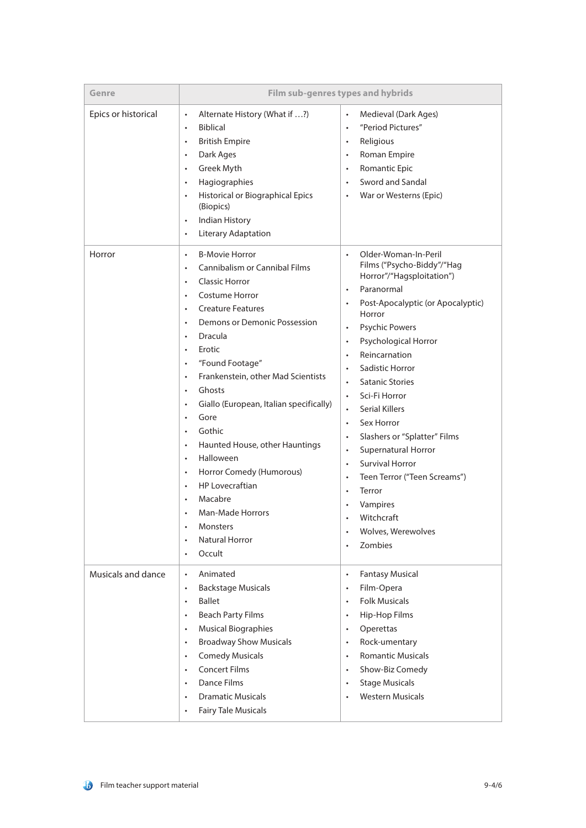| Genre               |                                                                                                                                                                                                                                                                                                                                                                                                                                                                                                                                                                                                                                                                                                                                                                                                      | Film sub-genres types and hybrids                                                                                                                                                                                                                                                                                                                                                                                                                                                                                                                                                                                                                                                                                                                   |
|---------------------|------------------------------------------------------------------------------------------------------------------------------------------------------------------------------------------------------------------------------------------------------------------------------------------------------------------------------------------------------------------------------------------------------------------------------------------------------------------------------------------------------------------------------------------------------------------------------------------------------------------------------------------------------------------------------------------------------------------------------------------------------------------------------------------------------|-----------------------------------------------------------------------------------------------------------------------------------------------------------------------------------------------------------------------------------------------------------------------------------------------------------------------------------------------------------------------------------------------------------------------------------------------------------------------------------------------------------------------------------------------------------------------------------------------------------------------------------------------------------------------------------------------------------------------------------------------------|
| Epics or historical | Alternate History (What if ?)<br>$\bullet$<br><b>Biblical</b><br>$\bullet$<br><b>British Empire</b><br>$\bullet$<br>Dark Ages<br>$\bullet$<br>Greek Myth<br>$\bullet$<br>Hagiographies<br>$\bullet$<br>Historical or Biographical Epics<br>$\bullet$<br>(Biopics)<br>Indian History<br>$\bullet$<br>Literary Adaptation<br>$\bullet$                                                                                                                                                                                                                                                                                                                                                                                                                                                                 | Medieval (Dark Ages)<br>$\bullet$<br>"Period Pictures"<br>$\bullet$<br>Religious<br>$\bullet$<br>Roman Empire<br>$\bullet$<br><b>Romantic Epic</b><br>$\bullet$<br>Sword and Sandal<br>$\bullet$<br>War or Westerns (Epic)                                                                                                                                                                                                                                                                                                                                                                                                                                                                                                                          |
| Horror              | <b>B-Movie Horror</b><br>$\bullet$<br><b>Cannibalism or Cannibal Films</b><br>$\bullet$<br><b>Classic Horror</b><br>$\bullet$<br>Costume Horror<br>$\bullet$<br><b>Creature Features</b><br>$\bullet$<br>Demons or Demonic Possession<br>$\bullet$<br>Dracula<br>Erotic<br>$\bullet$<br>"Found Footage"<br>$\bullet$<br>Frankenstein, other Mad Scientists<br>$\bullet$<br>Ghosts<br>$\bullet$<br>Giallo (European, Italian specifically)<br>$\bullet$<br>Gore<br>$\bullet$<br>Gothic<br>$\bullet$<br>Haunted House, other Hauntings<br>$\bullet$<br>Halloween<br>$\bullet$<br>Horror Comedy (Humorous)<br>$\bullet$<br><b>HP Lovecraftian</b><br>$\bullet$<br>Macabre<br>$\bullet$<br><b>Man-Made Horrors</b><br>Monsters<br>$\bullet$<br><b>Natural Horror</b><br>$\bullet$<br>Occult<br>$\bullet$ | Older-Woman-In-Peril<br>$\bullet$<br>Films ("Psycho-Biddy"/"Hag<br>Horror"/"Hagsploitation")<br>Paranormal<br>$\bullet$<br>Post-Apocalyptic (or Apocalyptic)<br>$\bullet$<br>Horror<br><b>Psychic Powers</b><br>$\bullet$<br>Psychological Horror<br>$\bullet$<br>Reincarnation<br>$\bullet$<br>Sadistic Horror<br>$\bullet$<br><b>Satanic Stories</b><br>Sci-Fi Horror<br>$\bullet$<br><b>Serial Killers</b><br>$\bullet$<br>Sex Horror<br>$\bullet$<br>Slashers or "Splatter" Films<br>$\bullet$<br>Supernatural Horror<br>$\bullet$<br><b>Survival Horror</b><br>$\bullet$<br>Teen Terror ("Teen Screams")<br>$\bullet$<br>Terror<br>$\bullet$<br>Vampires<br>$\bullet$<br>Witchcraft<br>Wolves, Werewolves<br>$\bullet$<br>Zombies<br>$\bullet$ |
| Musicals and dance  | Animated<br>$\bullet$<br><b>Backstage Musicals</b><br>$\bullet$<br><b>Ballet</b><br>$\bullet$<br><b>Beach Party Films</b><br>$\bullet$<br><b>Musical Biographies</b><br>$\bullet$<br><b>Broadway Show Musicals</b><br>$\bullet$<br><b>Comedy Musicals</b><br>$\bullet$<br><b>Concert Films</b><br>$\bullet$<br><b>Dance Films</b><br>$\bullet$<br><b>Dramatic Musicals</b><br>$\bullet$<br><b>Fairy Tale Musicals</b><br>$\bullet$                                                                                                                                                                                                                                                                                                                                                                   | <b>Fantasy Musical</b><br>$\bullet$<br>Film-Opera<br>$\bullet$<br><b>Folk Musicals</b><br>$\bullet$<br>Hip-Hop Films<br>$\bullet$<br>Operettas<br>$\bullet$<br>Rock-umentary<br>$\bullet$<br><b>Romantic Musicals</b><br>$\bullet$<br>Show-Biz Comedy<br>$\bullet$<br><b>Stage Musicals</b><br>$\bullet$<br><b>Western Musicals</b><br>$\bullet$                                                                                                                                                                                                                                                                                                                                                                                                    |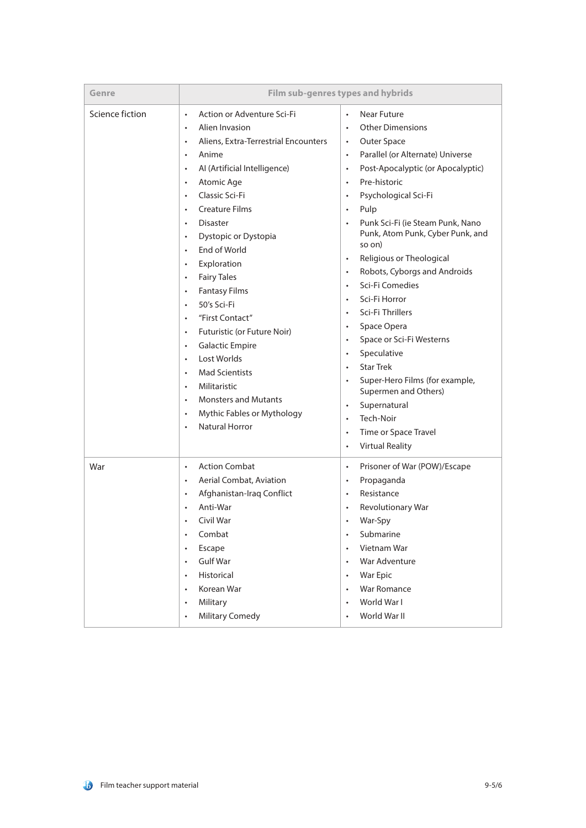| Genre           |                                                                                                                                                                                                                                                                                                                                                                                                                                                                                                                                                                                                                                                                                                                                                                                                                                                                                 | Film sub-genres types and hybrids                                                                                                                                                                                                                                                                                                                                                                                                                                                                                                                                                                                                                                                                                                                                                                              |
|-----------------|---------------------------------------------------------------------------------------------------------------------------------------------------------------------------------------------------------------------------------------------------------------------------------------------------------------------------------------------------------------------------------------------------------------------------------------------------------------------------------------------------------------------------------------------------------------------------------------------------------------------------------------------------------------------------------------------------------------------------------------------------------------------------------------------------------------------------------------------------------------------------------|----------------------------------------------------------------------------------------------------------------------------------------------------------------------------------------------------------------------------------------------------------------------------------------------------------------------------------------------------------------------------------------------------------------------------------------------------------------------------------------------------------------------------------------------------------------------------------------------------------------------------------------------------------------------------------------------------------------------------------------------------------------------------------------------------------------|
| Science fiction | Action or Adventure Sci-Fi<br>$\bullet$<br>Alien Invasion<br>$\bullet$<br>Aliens, Extra-Terrestrial Encounters<br>$\bullet$<br>Anime<br>$\bullet$<br>Al (Artificial Intelligence)<br>$\bullet$<br>Atomic Age<br>$\bullet$<br>Classic Sci-Fi<br>$\bullet$<br><b>Creature Films</b><br>$\bullet$<br><b>Disaster</b><br>$\bullet$<br>Dystopic or Dystopia<br>$\bullet$<br>End of World<br>$\bullet$<br>Exploration<br>$\bullet$<br><b>Fairy Tales</b><br>$\bullet$<br><b>Fantasy Films</b><br>$\bullet$<br>50's Sci-Fi<br>$\bullet$<br>"First Contact"<br>$\bullet$<br>Futuristic (or Future Noir)<br>$\bullet$<br><b>Galactic Empire</b><br>$\bullet$<br>Lost Worlds<br>$\bullet$<br><b>Mad Scientists</b><br>$\bullet$<br>Militaristic<br>$\bullet$<br><b>Monsters and Mutants</b><br>$\bullet$<br>Mythic Fables or Mythology<br>$\bullet$<br><b>Natural Horror</b><br>$\bullet$ | Near Future<br>$\bullet$<br><b>Other Dimensions</b><br>$\bullet$<br>Outer Space<br>$\bullet$<br>Parallel (or Alternate) Universe<br>$\bullet$<br>Post-Apocalyptic (or Apocalyptic)<br>$\bullet$<br>Pre-historic<br>Psychological Sci-Fi<br>$\bullet$<br>Pulp<br>$\bullet$<br>Punk Sci-Fi (ie Steam Punk, Nano<br>Punk, Atom Punk, Cyber Punk, and<br>so on)<br>Religious or Theological<br>$\bullet$<br>Robots, Cyborgs and Androids<br>$\bullet$<br>Sci-Fi Comedies<br>$\bullet$<br>Sci-Fi Horror<br>Sci-Fi Thrillers<br>Space Opera<br>$\bullet$<br>Space or Sci-Fi Westerns<br>Speculative<br>$\bullet$<br><b>Star Trek</b><br>$\bullet$<br>Super-Hero Films (for example,<br>Supermen and Others)<br>Supernatural<br>Tech-Noir<br>Time or Space Travel<br>$\bullet$<br><b>Virtual Reality</b><br>$\bullet$ |
| War             | <b>Action Combat</b><br>$\bullet$<br><b>Aerial Combat, Aviation</b><br>$\bullet$<br>Afghanistan-Iraq Conflict<br>$\bullet$<br>Anti-War<br>$\bullet$<br>Civil War<br>Combat<br>$\bullet$<br>Escape<br>$\bullet$<br>Gulf War<br>$\bullet$<br>Historical<br>$\bullet$<br>Korean War<br>$\bullet$<br>Military<br>$\bullet$<br><b>Military Comedy</b><br>$\bullet$                                                                                                                                                                                                                                                                                                                                                                                                                                                                                                                   | Prisoner of War (POW)/Escape<br>$\bullet$<br>Propaganda<br>$\bullet$<br>Resistance<br>Revolutionary War<br>War-Spy<br>Submarine<br>Vietnam War<br>War Adventure<br>$\bullet$<br>War Epic<br>$\bullet$<br>War Romance<br>World War I<br>World War II                                                                                                                                                                                                                                                                                                                                                                                                                                                                                                                                                            |